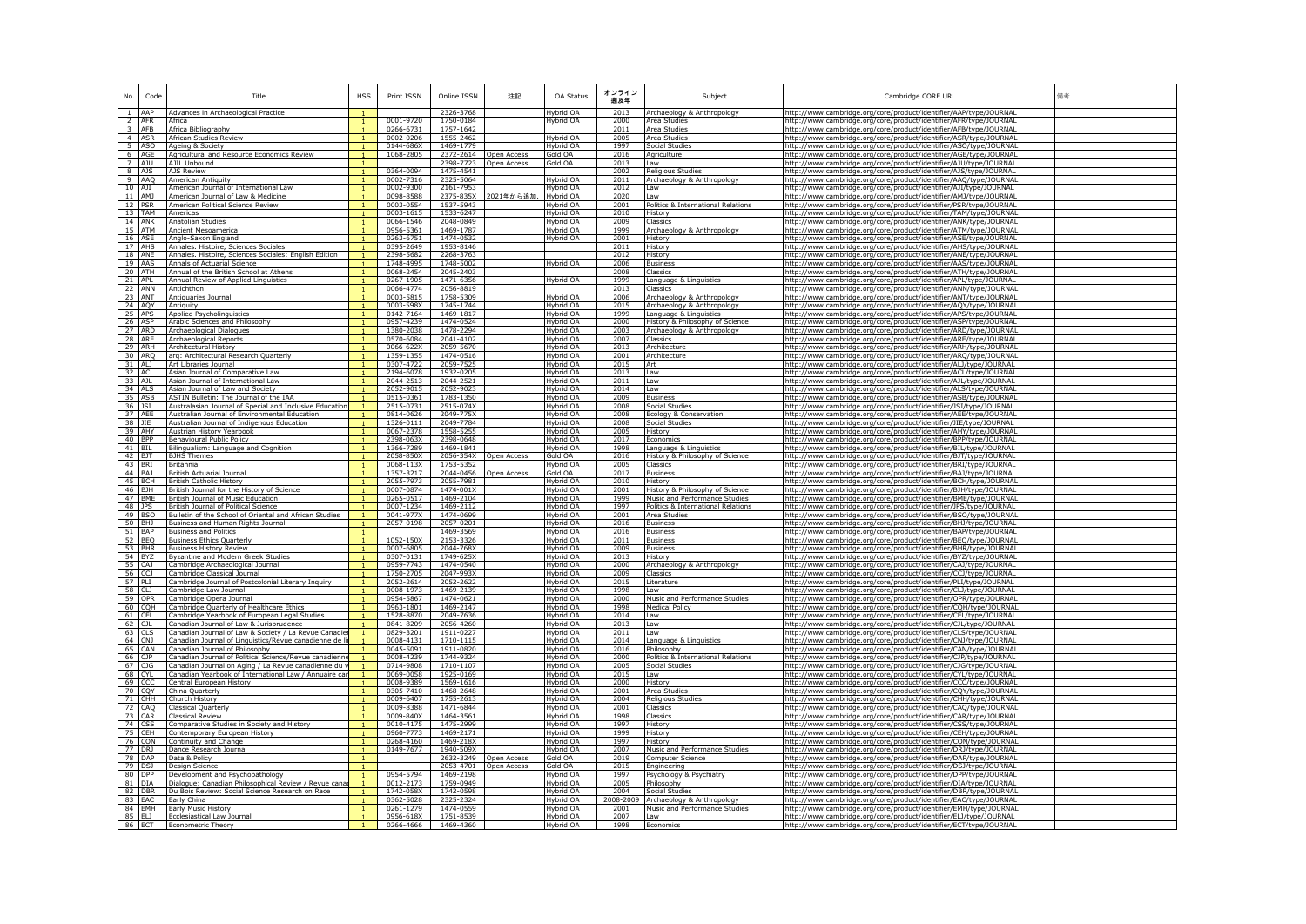| No.                | Code   | Title                                                                                                        | <b>HSS</b> | Print ISSN             | Online ISSN            | 注記                         | OA Status              | オンライン<br>遡及年 | Subject                                                   | Cambridge CORE URL                                                                                                                     | 備考 |
|--------------------|--------|--------------------------------------------------------------------------------------------------------------|------------|------------------------|------------------------|----------------------------|------------------------|--------------|-----------------------------------------------------------|----------------------------------------------------------------------------------------------------------------------------------------|----|
| 1 AAP              |        | Advances in Archaeological Practice                                                                          |            |                        | 2326-3768              |                            | Hybrid OA              | 2013         | Archaeology & Anthropology                                | http://www.cambridge.org/core/product/identifier/AAP/type/JOURNAL                                                                      |    |
| 2 AFR              |        | Africa                                                                                                       |            | 0001-9720              | 1750-0184              |                            | Hybrid OA              | 2000         | Area Studies                                              | http://www.cambridge.org/core/product/identifier/AFR/type/JOURNAI                                                                      |    |
| $3$ AFB            |        | Africa Bibliography                                                                                          |            | 0266-6731              | 1757-1642              |                            |                        | 2011         | Area Studies                                              | http://www.cambridge.org/core/product/identifier/AFB/type/JOURNAL                                                                      |    |
| 4 ASR              |        | African Studies Review                                                                                       |            | 0002-0206              | 1555-2462              |                            | Hybrid OA              | 2005         | Area Studies                                              | http://www.cambridge.org/core/product/identifier/ASR/type/JOURNAI                                                                      |    |
|                    | 5 ASO  | Ageing & Society                                                                                             |            | 0144-686X<br>1068-2805 | 1469-1779              |                            | Hybrid OA<br>Gold OA   | 1997         | Social Studies                                            | http://www.cambridge.org/core/product/identifier/ASO/type/JOURNAL                                                                      |    |
| 6 AGE<br>7 AJU     |        | Agricultural and Resource Economics Review<br>AJIL Unbound                                                   |            |                        | 2372-2614<br>2398-7723 | Open Access<br>pen Access  | Gold OA                | 2016<br>2013 | Agriculture                                               | http://www.cambridge.org/core/product/identifier/AGE/type/JOURNAL<br>http://www.cambridge.org/core/product/identifier/AJU/type/JOURNAL |    |
| 8 AJS              |        | <b>AIS Review</b>                                                                                            |            | 0364-0094              | 1475-4541              |                            |                        | 2002         | Law<br><b>Religious Studies</b>                           | http://www.cambridge.org/core/product/identifier/AJS/type/JOURNAL                                                                      |    |
| 9 AAQ              |        | <b>American Antiquity</b>                                                                                    |            | 0002-7316              | 2325-5064              |                            | Hybrid OA              | 2011         | Archaeology & Anthropology                                | http://www.cambridge.org/core/product/identifier/AAQ/type/JOURNAL                                                                      |    |
| 10 AJI             |        | American Journal of International Law                                                                        |            | 0002-9300              | 2161-7953              |                            | Hybrid OA              | 2012         | Law                                                       | http://www.cambridge.org/core/product/identifier/AJI/type/JOURNAL                                                                      |    |
| 11 AMJ             |        | American Journal of Law & Medicine                                                                           |            | 0098-8588              |                        | 2375-835X 2021年から追加.       | <b>Hybrid OA</b>       | 2020         | Law                                                       | http://www.cambridge.org/core/product/identifier/AMJ/type/JOURNAL                                                                      |    |
| 12 PSR             |        | American Political Science Review                                                                            |            | 0003-0554              | 1537-5943              |                            | Hybrid OA              | 2001         | Politics & International Relations                        | http://www.cambridge.org/core/product/identifier/PSR/type/JOURNAL                                                                      |    |
| 13 TAM<br>14 ANK   |        | Americas                                                                                                     |            | 0003-1615              | 1533-6247              |                            | Hybrid OA              | 2010<br>2009 | History                                                   | http://www.cambridge.org/core/product/identifier/TAM/type/JOURNAL                                                                      |    |
|                    |        | Anatolian Studies<br>Ancient Mesoamerica                                                                     |            | 0066-1546<br>0956-5361 | 2048-0849<br>1469-1787 |                            | Hybrid OA<br>Hybrid OA | 1999         | Classics                                                  | http://www.cambridge.org/core/product/identifier/ANK/type/JOURNAL                                                                      |    |
| 16 ASE             | 15 ATM | Anglo-Saxon England                                                                                          |            | 0263-6751              | 1474-0532              |                            | Hybrid OA              | 2001         | Archaeology & Anthropology<br>History                     | http://www.cambridge.org/core/product/identifier/ATM/type/JOURNAL<br>http://www.cambridge.org/core/product/identifier/ASE/type/JOURNAL |    |
| 17 AHS             |        | Annales, Histoire, Sciences Sociales                                                                         |            | 0395-2649              | 1953-8146              |                            |                        | 2011         | History                                                   | http://www.cambridge.org/core/product/identifier/AHS/type/JOURNAI                                                                      |    |
| 18 ANE             |        | Annales, Histoire, Sciences Sociales: English Edition                                                        |            | 2398-5682              | 2268-3763              |                            |                        | 2012         | History                                                   | http://www.cambridge.org/core/product/identifier/ANE/type/JOURNAL                                                                      |    |
| 19 AAS             |        | Annals of Actuarial Science                                                                                  |            | 1748-4995              | 1748-5002              |                            | Hybrid OA              | 2006         | <b>Business</b>                                           | http://www.cambridge.org/core/product/identifier/AAS/type/JOURNAI                                                                      |    |
| 20 ATH             |        | Annual of the British School at Athens                                                                       |            | 0068-2454              | 2045-2403              |                            |                        | 2008         | Classics                                                  | http://www.cambridge.org/core/product/identifier/ATH/type/JOURNAL                                                                      |    |
| $21$ APL           |        | Annual Review of Applied Linguistics                                                                         |            | 0267-1905              | 1471-6356              |                            | Hybrid OA              | 1999         | Language & Linguistics                                    | http://www.cambridge.org/core/product/identifier/APL/type/JOURNAL                                                                      |    |
| 22 ANN             | 23 ANT | Antichthon<br>Antiquaries Journal                                                                            |            | 0066-4774<br>0003-5815 | 2056-8819<br>1758-5309 |                            | Hybrid OA              | 2013<br>2006 | Classics<br>Archaeology & Anthropology                    | ittp://www.cambridge.org/core/product/identifier/ANN/type/JOURNAI<br>http://www.cambridge.org/core/product/identifier/ANT/type/JOURNAL |    |
| 24 AQY             |        | Antiquity                                                                                                    |            | 0003-598X              | 1745-1744              |                            | Hybrid OA              | 2015         | Archaeology & Anthropology                                | http://www.cambridge.org/core/product/identifier/AQY/type/JOURNAI                                                                      |    |
| 25 APS             |        | Applied Psycholinguistics                                                                                    |            | 0142-7164              | 1469-1817              |                            | Hybrid OA              | 1999         | Language & Linguistics                                    | http://www.cambridge.org/core/product/identifier/APS/type/JOURNAL                                                                      |    |
| 26 ASP             |        | Arabic Sciences and Philosophy                                                                               |            | 0957-4239              | 1474-0524              |                            | Hybrid OA              | 2000         | History & Philosophy of Science                           | http://www.cambridge.org/core/product/identifier/ASP/type/JOURNAL                                                                      |    |
| 27 ARD             |        | Archaeological Dialogues                                                                                     |            | 1380-2038              | 1478-2294              |                            | Hybrid OA              | 2003         | Archaeology & Anthropology                                | http://www.cambridge.org/core/product/identifier/ARD/type/JOURNAL                                                                      |    |
| 28 ARE             |        | Archaeological Reports                                                                                       |            | 0570-6084              | 2041-4102              |                            | Hybrid OA              | 2007         | Classics                                                  | http://www.cambridge.org/core/product/identifier/ARE/type/JOURNAL                                                                      |    |
| 29 ARH             |        | Architectural History                                                                                        |            | 0066-622X              | 2059-5670              |                            | Hybrid OA              | 2013         | Architecture                                              | http://www.cambridge.org/core/product/identifier/ARH/type/JOURNAI                                                                      |    |
| 30 ARO<br>31 ALJ   |        | arg: Architectural Research Ouarterly<br>Art Libraries Journal                                               |            | 1359-1355<br>0307-4722 | 1474-0516<br>2059-7525 |                            | Hybrid OA<br>Hybrid OA | 2001<br>2015 | Architecture<br>Δrt                                       | http://www.cambridge.org/core/product/identifier/ARO/type/JOURNAL                                                                      |    |
| 32 ACL             |        | Asian Journal of Comparative Law                                                                             |            | 2194-6078              | 1932-0205              |                            | Hybrid OA              | 2013         | Law                                                       | http://www.cambridge.org/core/product/identifier/ALJ/type/JOURNAL                                                                      |    |
| 33 AJL             |        | Asian Journal of International Law                                                                           |            | 2044-2513              | 2044-2521              |                            | Hybrid OA              | 2011         | Law                                                       | http://www.cambridge.org/core/product/identifier/ACL/type/JOURNAL<br>http://www.cambridge.org/core/product/identifier/AJL/type/JOURNAL |    |
| 34 ALS             |        | Asian Journal of Law and Society                                                                             |            | 2052-9015              | 2052-9023              |                            | Hybrid OA              | 2014         | Law                                                       | http://www.cambridge.org/core/product/identifier/ALS/type/JOURNAL                                                                      |    |
| 35 ASB             |        | ASTIN Bulletin: The Journal of the IAA                                                                       |            | 0515-0361              | 1783-1350              |                            | Hybrid OA              | 2009         | <b>Business</b>                                           | http://www.cambridge.org/core/product/identifier/ASB/type/JOURNAL                                                                      |    |
| 36 JSI             |        | Australasian Journal of Special and Inclusive Educatio                                                       |            | 2515-0731              | 2515-074X              |                            | Hybrid OA              | 2008         | Social Studies                                            | http://www.cambridge.org/core/product/identifier/JSI/type/JOURNAL                                                                      |    |
| 37 AEE             |        | Australian Journal of Environmental Education                                                                |            | 0814-0626              | 2049-775X              |                            | Hybrid OA              | 2008         | Ecology & Conservation                                    | http://www.cambridge.org/core/product/identifier/AEE/type/JOURNAL                                                                      |    |
| 38 JIE             |        | Australian Journal of Indigenous Education                                                                   |            | 1326-0111              | 2049-7784              |                            | Hybrid OA              | 2008         | Social Studies                                            | http://www.cambridge.org/core/product/identifier/JIE/type/JOURNAL                                                                      |    |
| 39 AHY             |        | Austrian History Yearbook                                                                                    |            | 0067-2378              | 1558-5255              |                            | Hybrid OA              | 2005         | History                                                   | http://www.cambridge.org/core/product/identifier/AHY/type/JOURNAL                                                                      |    |
| 40 BPP             |        | Behavioural Public Policy                                                                                    |            | 2398-063X              | 2398-0648              |                            | Hybrid OA              | 2017         | Economics                                                 | http://www.cambridge.org/core/product/identifier/BPP/type/JOURNAL                                                                      |    |
| 41 BIL<br>42 BJT   |        | Bilingualism: Language and Cognition<br><b>BJHS Themes</b>                                                   |            | 1366-7289<br>2058-850X | 1469-1841<br>2056-354X | pen Access                 | Hybrid OA<br>Gold OA   | 1998<br>2016 | Language & Linguistics<br>History & Philosophy of Science | http://www.cambridge.org/core/product/identifier/BIL/type/JOURNAI<br>http://www.cambridge.org/core/product/identifier/BJT/type/JOURNAL |    |
| 43 BRI             |        | <b>Britannia</b>                                                                                             |            | 0068-113X              | 1753-5352              |                            | Hybrid OA              | 2005         | Classics                                                  | http://www.cambridge.org/core/product/identifier/BRI/type/JOURNAL                                                                      |    |
| 44 BA1             |        | British Actuarial Journal                                                                                    |            | 1357-3217              | 2044-0456              | Open Access                | Gold OA                | 2017         | <b>Business</b>                                           | http://www.cambridge.org/core/product/identifier/BAJ/type/JOURNAL                                                                      |    |
| 45 BCH             |        | <b>British Catholic History</b>                                                                              |            | 2055-7973              | 2055-7981              |                            | Hybrid OA              | 2010         | History                                                   | http://www.cambridge.org/core/product/identifier/BCH/type/JOURNAI                                                                      |    |
| 46 BJH             |        | British Journal for the History of Science                                                                   |            | 0007-0874              | $1474 - 001X$          |                            | Hybrid OA              | 2001         | History & Philosophy of Science                           | http://www.cambridge.org/core/product/identifier/BJH/type/JOURNAL                                                                      |    |
| 47 BME             |        | British Journal of Music Education                                                                           |            | 0265-0517              | 1469-2104              |                            | Hybrid OA              | 1999         | Music and Performance Studies                             | http://www.cambridge.org/core/product/identifier/BME/type/JOURNAL                                                                      |    |
| 48 JPS             |        | British Journal of Political Science                                                                         |            | 0007-1234              | 1469-2112              |                            | Hybrid OA              | 1997         | Politics & International Relations                        | http://www.cambridge.org/core/product/identifier/JPS/type/JOURNAL                                                                      |    |
| 49 BSO             |        | Bulletin of the School of Oriental and African Studies                                                       |            | 0041-977X              | 1474-0699              |                            | Hybrid OA              | 2001         | Area Studies                                              | http://www.cambridge.org/core/product/identifier/BSO/type/JOURNAL                                                                      |    |
| 50 BHJ<br>$51$ BAP |        | Business and Human Rights Journal<br><b>Business and Politics</b>                                            |            | 2057-0198              | 2057-0201<br>1469-3569 |                            | Hybrid OA<br>Hybrid OA | 2016<br>2016 | <b>Business</b><br><b>Business</b>                        | http://www.cambridge.org/core/product/identifier/BHJ/type/JOURNAL<br>http://www.cambridge.org/core/product/identifier/BAP/type/JOURNAL |    |
| 52 BEQ             |        | <b>Business Ethics Quarterly</b>                                                                             |            | 1052-150X              | 2153-3326              |                            | Hybrid OA              | 2011         | <b>Business</b>                                           | http://www.cambridge.org/core/product/identifier/BEQ/type/JOURNAL                                                                      |    |
|                    | 53 BHR | <b>Business History Review</b>                                                                               |            | 0007-6805              | 2044-768X              |                            | Hybrid OA              | 2009         | <b>Business</b>                                           | http://www.cambridge.org/core/product/identifier/BHR/type/JOURNAL                                                                      |    |
| 54 BYZ             |        | Byzantine and Modern Greek Studies                                                                           |            | 0307-0131              | 1749-625X              |                            | Hybrid OA              | 2013         | History                                                   | ittp://www.cambridge.org/core/product/identifier/BYZ/type/JOURNAL                                                                      |    |
| 55 CAJ             |        | Cambridge Archaeological Journal                                                                             |            | 0959-7743              | 1474-0540              |                            | Hybrid OA              | 2000         | Archaeology & Anthropology                                | http://www.cambridge.org/core/product/identifier/CAJ/type/JOURNAL                                                                      |    |
| 56 CCJ             |        | Cambridge Classical Journal                                                                                  |            | 1750-2705              | 2047-993X              |                            | Hybrid OA              | 2009         | Classics                                                  | http://www.cambridge.org/core/product/identifier/CCJ/type/JOURNAL                                                                      |    |
| 57 PLI             |        | Cambridge Journal of Postcolonial Literary Inquiry                                                           |            | 2052-2614              | 2052-2622              |                            | Hybrid OA              | 2015         | Literature                                                | http://www.cambridge.org/core/product/identifier/PLI/type/JOURNAL                                                                      |    |
| 58 CLJ             |        | Cambridge Law Journal                                                                                        |            | 0008-1973              | 1469-2139              |                            | Hybrid OA              | 1998         | l aw                                                      | http://www.cambridge.org/core/product/identifier/CLJ/type/JOURNAI                                                                      |    |
| 59 OPR<br>60 CQH   |        | Cambridge Opera Journal<br>Cambridge Quarterly of Healthcare Ethic:                                          |            | 0954-5867<br>0963-1801 | 1474-0621<br>1469-2147 |                            | Hybrid OA<br>Hybrid OA | 2000<br>1998 | Music and Performance Studies<br>Medical Policy           | http://www.cambridge.org/core/product/identifier/OPR/type/JOURNAL<br>ittp://www.cambridge.org/core/product/identifier/CQH/type/JOURNAI |    |
| 61 CEL             |        | Cambridge Yearbook of European Legal Studies                                                                 |            | 1528-8870              | 2049-7636              |                            | Hybrid OA              | 2014         | Law                                                       | http://www.cambridge.org/core/product/identifier/CEL/type/JOURNAL                                                                      |    |
| 62 CJL             |        | Canadian Journal of Law & Jurisprudence                                                                      |            | 0841-8209              | 2056-4260              |                            | Hybrid OA              | 2013         | l aw                                                      | http://www.cambridge.org/core/product/identifier/CJL/type/JOURNAL                                                                      |    |
| 63 CLS             |        | Canadian Journal of Law & Society / La Revue Canadie                                                         |            | 0829-3201              | 1911-0227              |                            | Hybrid OA              | 2011         | Law                                                       | http://www.cambridge.org/core/product/identifier/CLS/type/JOURNAL                                                                      |    |
| 64 CNJ             |        | Canadian Journal of Linguistics/Revue canadienne de l                                                        |            | 0008-4131              | 1710-1115              |                            | Hybrid OA              | 2014         | Language & Linguistics                                    | http://www.cambridge.org/core/product/identifier/CNJ/type/JOURNAI                                                                      |    |
| 65 CAN             |        | Canadian Journal of Philosophy                                                                               |            | 0045-5091              | 1911-0820              |                            | Hybrid OA              | 2016         | Philosophy                                                | http://www.cambridge.org/core/product/identifier/CAN/type/JOURNAL                                                                      |    |
| 66 CJP             |        | Canadian Journal of Political Science/Revue canadien                                                         |            | 0008-4239              | 1744-9324              |                            | Hybrid OA              | 2000         | Politics & International Relations                        | ittp://www.cambridge.org/core/product/identifier/CJP/type/JOURNAL                                                                      |    |
| 67 CJG<br>68 CYL   |        | Canadian Journal on Aging / La Revue canadienne du v<br>Canadian Yearbook of International Law / Annuaire ca |            | 0714-9808<br>0069-0058 | 1710-1107<br>1925-0169 |                            | Hybrid OA<br>Hybrid OA | 2005<br>2015 | Social Studies<br>Law                                     | http://www.cambridge.org/core/product/identifier/CJG/type/JOURNAL                                                                      |    |
| 69 CCC             |        | Central European History                                                                                     |            | 0008-9389              | 1569-1616              |                            | Hybrid OA              | 2000         | History                                                   | http://www.cambridge.org/core/product/identifier/CYL/type/JOURNAI<br>http://www.cambridge.org/core/product/identifier/CCC/type/JOURNAL |    |
| 70 CQY             |        | China Ouarterly                                                                                              |            | 0305-7410              | 1468-2648              |                            | Hybrid OA              | 2001         | Area Studies                                              | http://www.cambridge.org/core/product/identifier/CQY/type/JOURNAI                                                                      |    |
|                    | 71 CHH | Church History                                                                                               |            | 0009-6407              | 1755-2613              |                            | Hybrid OA              | 2004         | <b>Religious Studies</b>                                  | http://www.cambridge.org/core/product/identifier/CHH/type/JOURNAL                                                                      |    |
| 72 CAQ             |        | Classical Quarterly                                                                                          |            | 0009-8388              | 1471-6844              |                            | Hybrid OA              | 2001         | Classics                                                  | http://www.cambridge.org/core/product/identifier/CAQ/type/JOURNAL                                                                      |    |
| 73 CAR             |        | <b>Classical Review</b>                                                                                      |            | 0009-840X              | 1464-3561              |                            | Hybrid OA              | 1998         | Classics                                                  | http://www.cambridge.org/core/product/identifier/CAR/type/JOURNAI                                                                      |    |
| 74 CSS             |        | Comparative Studies in Society and History                                                                   |            | 0010-4175              | 1475-2999              |                            | Hybrid OA              | 1997         | History                                                   | http://www.cambridge.org/core/product/identifier/CSS/type/JOURNAL                                                                      |    |
|                    | 75 CEH | Contemporary European History                                                                                |            | 0960-7773              | 1469-2171              |                            | Hybrid OA              | 1999         | History                                                   | http://www.cambridge.org/core/product/identifier/CEH/type/JOURNAL                                                                      |    |
|                    | 76 CON | Continuity and Change                                                                                        |            | 0268-4160              | 1469-218X              |                            | Hybrid OA              | 1997         | History                                                   | http://www.cambridge.org/core/product/identifier/CON/type/JOURNAL                                                                      |    |
| 77 DRJ             |        | Dance Research Journal                                                                                       |            | 0149-7677              | 1940-509X              |                            | Hybrid OA              | 2007         | Music and Performance Studies                             | http://www.cambridge.org/core/product/identifier/DRJ/type/JOURNAL                                                                      |    |
| 78 DAP<br>79 DSJ   |        | Data & Policy<br>Design Science                                                                              |            |                        | 2632-3249<br>2053-4701 | Open Access<br>Open Access | Gold OA<br>Gold OA     | 2019<br>2015 | Computer Science<br>Engineering                           | http://www.cambridge.org/core/product/identifier/DAP/type/JOURNAL<br>http://www.cambridge.org/core/product/identifier/DSJ/type/JOURNAL |    |
| 80 DPP             |        | Development and Psychopathology                                                                              |            | 0954-5794              | 1469-2198              |                            | Hybrid OA              | 1997         | Psychology & Psychiatry                                   | http://www.cambridge.org/core/product/identifier/DPP/type/JOURNAL                                                                      |    |
| 81 DIA             |        | Dialoque: Canadian Philosophical Review / Revue cana                                                         |            | 0012-2173              | 1759-0949              |                            | Hybrid OA              | 2005         | Philosophy                                                | http://www.cambridge.org/core/product/identifier/DIA/type/JOURNAL                                                                      |    |
| 82 DBR             |        | Du Bois Review: Social Science Research on Race                                                              |            | 1742-058X              | 1742-0598              |                            | Hybrid OA              | 2004         | Social Studies                                            | http://www.cambridge.org/core/product/identifier/DBR/type/JOURNAL                                                                      |    |
| 83 EAC             |        | Early China                                                                                                  |            | 0362-5028              | 2325-2324              |                            | Hybrid OA              | 2008-2009    | Archaeology & Anthropology                                | http://www.cambridge.org/core/product/identifier/EAC/type/JOURNAL                                                                      |    |
|                    | 84 FMH | Early Music History                                                                                          |            | 0261-1279              | 1474-0559              |                            | Hybrid OA              | 2001         | Music and Performance Studies                             | http://www.cambridge.org/core/product/identifier/EMH/type/JOURNAL                                                                      |    |
| 85 ELJ             |        | Ecclesiastical Law Journal                                                                                   |            |                        | 0956-618X 1751-8539    |                            | Hybrid OA              | 2007         | Law                                                       | http://www.cambridge.org/core/product/identifier/ELJ/type/JOURNAL                                                                      |    |
| 86 ECT             |        | Econometric Theory                                                                                           |            | 0266-4666              | 1469-4360              |                            | Hybrid OA              | 1998         | <b>Economics</b>                                          | http://www.cambridge.org/core/product/identifier/ECT/type/JOURNAL                                                                      |    |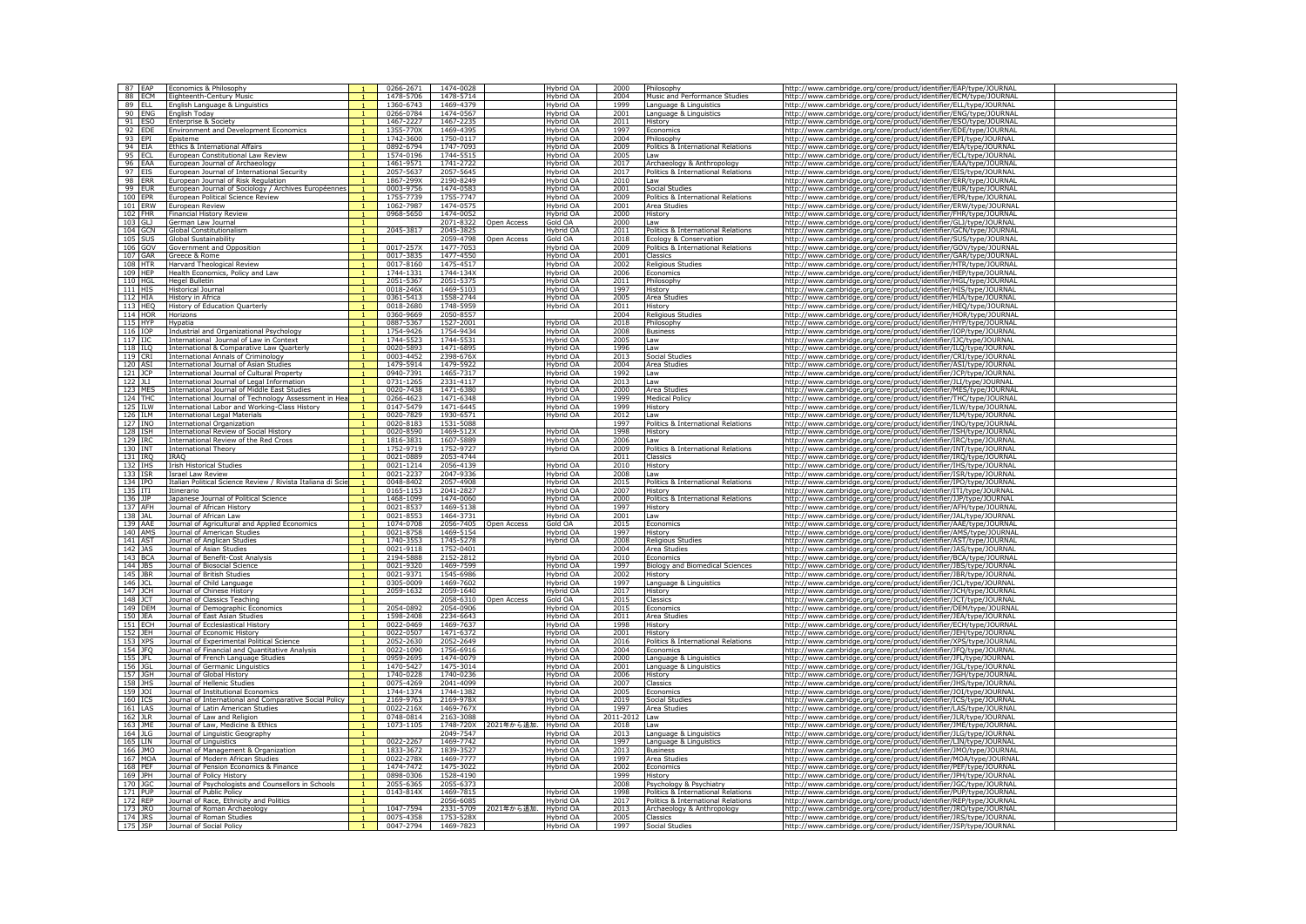| 87 EAP                        |            | Economics & Philosophy                                                            |              | 0266-2671              | 1474-0028              |                      | Hybrid OA              | 2000              | Philosophy                                                       | http://www.cambridge.org/core/product/identifier/EAP/type/JOURNA                                                                       |
|-------------------------------|------------|-----------------------------------------------------------------------------------|--------------|------------------------|------------------------|----------------------|------------------------|-------------------|------------------------------------------------------------------|----------------------------------------------------------------------------------------------------------------------------------------|
|                               | 88 ECM     | Eighteenth-Century Music                                                          |              | 1478-5706              | 1478-5714              |                      | Hybrid OA              | 2004              | Music and Performance Studies                                    | http://www.cambridge.org/core/product/identifier/ECM/type/JOURNAL                                                                      |
| 89 ELL                        |            | English Language & Linguistics                                                    |              | 1360-6743              | 1469-4379              |                      | Hybrid OA              | 1999              | Language & Linguistics                                           | http://www.cambridge.org/core/product/identifier/ELL/type/JOURNAI                                                                      |
| 90 ENG                        |            | English Today                                                                     |              | 0266-0784              | 1474-0567              |                      | Hybrid OA              | 2001              | Language & Linguistics                                           | http://www.cambridge.org/core/product/identifier/ENG/type/JOURNA                                                                       |
| 91 ESO                        |            | Enterprise & Society                                                              |              | 1467-2227              | 1467-2235              |                      | Hybrid OA              | 2011              | History                                                          | http://www.cambridge.org/core/product/identifier/ESO/type/JOURNAL                                                                      |
| 92 EDE                        |            | <b>Environment and Development Economics</b>                                      |              | 1355-770X              | 1469-4395              |                      | Hybrid OA              | 1997              | Economics                                                        | http://www.cambridge.org/core/product/identifier/EDE/type/JOURNA                                                                       |
| 93 EPI                        |            | Fnisteme                                                                          |              | 1742-3600              | 1750-0117              |                      | Hybrid OA              | 2004              | Philosophy                                                       | http://www.cambridge.org/core/product/identifier/EPI/type/JOURNAL                                                                      |
| 94 EIA                        |            | Ethics & International Affairs                                                    |              | 0892-6794              | 1747-7093              |                      | Hybrid OA              | 2009              | Politics & International Relations                               | http://www.cambridge.org/core/product/identifier/EIA/type/JOURNAL                                                                      |
| 95 ECL<br>96 EAA              |            | European Constitutional Law Review                                                |              | 1574-0196<br>1461-9571 | 1744-5515<br>1741-2722 |                      | Hybrid OA<br>Hybrid OA | 2005<br>2017      | Law                                                              | http://www.cambridge.org/core/product/identifier/ECL/type/JOURNAI                                                                      |
| 97 EIS                        |            | European Journal of Archaeology                                                   |              | 2057-5637              | 2057-5645              |                      | Hybrid OA              | 2017              | Archaeology & Anthropology<br>Politics & International Relations | http://www.cambridge.org/core/product/identifier/EAA/type/JOURNAL                                                                      |
| 98 ERR                        |            | European Journal of International Security<br>European Journal of Risk Regulation |              | 1867-299X              | 2190-8249              |                      | Hybrid OA              | 2010              | Law                                                              | http://www.cambridge.org/core/product/identifier/EIS/type/JOURNAL<br>http://www.cambridge.org/core/product/identifier/ERR/type/JOURNAI |
| 99 EUR                        |            | European Journal of Sociology / Archives Européennes                              |              | 0003-9756              | 1474-0583              |                      | Hybrid OA              | 2001              | Social Studies                                                   | http://www.cambridge.org/core/product/identifier/EUR/type/JOURNAI                                                                      |
| 100 EPR                       |            | European Political Science Review                                                 |              | 1755-7739              | 1755-7747              |                      | Hybrid OA              | 2009              | Politics & International Relations                               | http://www.cambridge.org/core/product/identifier/EPR/type/JOURNAL                                                                      |
| 101 ERW                       |            | European Review                                                                   |              | 1062-7987              | 1474-0575              |                      | Hybrid OA              | 2001              | Area Studies                                                     | http://www.cambridge.org/core/product/identifier/ERW/type/JOURNAI                                                                      |
| 102 FHR                       |            | <b>Financial History Review</b>                                                   |              | 0968-5650              | 1474-0052              |                      | Hybrid OA              | 2000              | History                                                          | http://www.cambridge.org/core/product/identifier/FHR/type/JOURNAL                                                                      |
| 103 GLJ                       |            | German Law Journal                                                                |              |                        | 2071-8322              | Open Access          | Gold OA                | 2000              | Law                                                              | http://www.cambridge.org/core/product/identifier/GLJ/type/JOURNAL                                                                      |
|                               | 104 GCN    | Global Constitutionalism                                                          |              | 2045-3817              | 2045-3825              |                      | Hybrid OA              | 2011              | Politics & International Relations                               | http://www.cambridge.org/core/product/identifier/GCN/type/JOURNAI                                                                      |
| 105 SUS                       |            | Global Sustainability                                                             |              |                        | 2059-4798              | Open Access          | Gold OA                | 2018              | Ecology & Conservation                                           | http://www.cambridge.org/core/product/identifier/SUS/type/JOURNAL                                                                      |
|                               | 106 GOV    | Government and Opposition                                                         |              | 0017-257X              | 1477-7053              |                      | Hybrid OA              | 2009              | Politics & International Relations                               | http://www.cambridge.org/core/product/identifier/GOV/type/JOURNAL                                                                      |
| 107 GAR                       |            | Greece & Rome                                                                     |              | 0017-3835              | 1477-4550              |                      | Hybrid OA              | 2001              | Classics                                                         | http://www.cambridge.org/core/product/identifier/GAR/type/JOURNAL                                                                      |
| 108 HTR                       |            | <b>Harvard Theological Review</b>                                                 |              | 0017-8160              | 1475-4517              |                      | Hybrid OA              | 2002              | <b>Religious Studies</b>                                         | http://www.cambridge.org/core/product/identifier/HTR/type/JOURNAL                                                                      |
| 109 HEP                       |            | Health Economics, Policy and Law                                                  |              | 1744-1331              | 1744-134X              |                      | Hybrid OA              | 2006              | Economics                                                        | http://www.cambridge.org/core/product/identifier/HEP/type/JOURNAL                                                                      |
| 110 HGL                       |            | <b>Hegel Bulletin</b>                                                             |              | 2051-5367              | 2051-5375              |                      | Hybrid OA              | 2011              | Philosophy                                                       | http://www.cambridge.org/core/product/identifier/HGL/type/10URNA                                                                       |
| 111 HIS                       |            | Historical Journa                                                                 |              | 0018-246X              | 1469-5103              |                      | Hybrid OA              | 1997              | History                                                          | http://www.cambridge.org/core/product/identifier/HIS/type/JOURNAL                                                                      |
| $112$ HIA                     |            | History in Africa                                                                 |              | 0361-5413              | 1558-2744              |                      | Hybrid OA              | 2005              | Area Studie                                                      | http://www.cambridge.org/core/product/identifier/HIA/type/JOURNAL                                                                      |
| 113 HEQ                       |            | History of Education Quarterly                                                    |              | 0018-2680              | 1748-5959              |                      | Hybrid OA              | 2011              | History                                                          | http://www.cambridge.org/core/product/identifier/HEQ/type/JOURNAL                                                                      |
|                               | 114 HOR    | Horizons                                                                          |              | 0360-9669              | 2050-8557              |                      |                        | 2004              | <b>Religious Studies</b>                                         | http://www.cambridge.org/core/product/identifier/HOR/type/JOURNAL                                                                      |
| 115 HYP                       |            | Hypatia                                                                           |              | 0887-5367              | 1527-2001              |                      | Hybrid OA              | 2018              | Philosophy                                                       | http://www.cambridge.org/core/product/identifier/HYP/type/JOURNAL                                                                      |
| 116 IOP                       |            | Industrial and Organizational Psychology                                          |              | 1754-9426              | 1754-9434              |                      | Hybrid OA              | 2008              | <b>Business</b>                                                  | http://www.cambridge.org/core/product/identifier/IOP/type/JOURNAL                                                                      |
| 117 IJC<br>118 ILO            |            | International Journal of Law in Context                                           |              | 1744-5523<br>0020-5893 | 1744-5531<br>1471-6895 |                      | Hybrid OA<br>Hybrid OA | 2005<br>1996      | Law<br>Law                                                       | http://www.cambridge.org/core/product/identifier/IJC/type/JOURNAL                                                                      |
| 119 CRI                       |            | International & Comparative Law Quarterly<br>International Annals of Criminology  |              | 0003-4452              | 2398-676X              |                      | Hybrid OA              | 2013              | Social Studies                                                   | http://www.cambridge.org/core/product/identifier/ILQ/type/JOURNAL<br>http://www.cambridge.org/core/product/identifier/CRI/type/JOURNAL |
| 120 ASI                       |            | International Journal of Asian Studies                                            |              | 1479-5914              | 1479-5922              |                      | Hybrid OA              | 2004              | Area Studies                                                     | http://www.cambridge.org/core/product/identifier/ASI/type/JOURNAL                                                                      |
| 121 JCP                       |            | International Journal of Cultural Property                                        |              | 0940-7391              | 1465-7317              |                      | Hybrid OA              | 1992              | Law                                                              | http://www.cambridge.org/core/product/identifier/JCP/type/JOURNAI                                                                      |
| $122$ JLI                     |            | International Journal of Legal Information                                        |              | 0731-1265              | 2331-4117              |                      | Hybrid OA              | 2013              | Law                                                              | http://www.cambridge.org/core/product/identifier/JLI/type/JOURNAL                                                                      |
| 123 MES                       |            | International Journal of Middle East Studies                                      |              | 0020-7438              | 1471-6380              |                      | Hybrid OA              | 2000              | Area Studies                                                     | http://www.cambridge.org/core/product/identifier/MES/type/JOURNA                                                                       |
| 124 THC                       |            | International Journal of Technology Assessment in He                              |              | 0266-4623              | 1471-6348              |                      | Hybrid OA              | 1999              | <b>Medical Policy</b>                                            | http://www.cambridge.org/core/product/identifier/THC/type/JOURNAI                                                                      |
| 125 ILW                       |            | International Labor and Working-Class History                                     |              | 0147-5479              | 1471-6445              |                      | Hybrid OA              | 1999              | History                                                          | http://www.cambridge.org/core/product/identifier/ILW/type/JOURNAL                                                                      |
| 126 ILM                       |            | <b>International Legal Materials</b>                                              |              | 0020-7829              | 1930-6571              |                      | Hybrid OA              | 2012              | Law                                                              | http://www.cambridge.org/core/product/identifier/ILM/type/JOURNAL                                                                      |
| 127 INO                       |            | <b>International Organization</b>                                                 |              | 0020-8183              | 1531-5088              |                      |                        | 1997              | Politics & International Relations                               | http://www.cambridge.org/core/product/identifier/INO/type/JOURNA                                                                       |
| 128 ISH                       |            | <b>International Review of Social History</b>                                     |              | 0020-8590              | 1469-512X              |                      | Hybrid OA              | 1998              | History                                                          | http://www.cambridge.org/core/product/identifier/ISH/type/JOURNAL                                                                      |
| 129 IRC                       |            | International Review of the Red Cross                                             |              | 1816-3831              | 1607-5889              |                      | Hybrid OA              | 2006              | Law                                                              | http://www.cambridge.org/core/product/identifier/IRC/type/JOURNAL                                                                      |
| 130 INT                       |            | <b>International Theory</b>                                                       |              | 1752-9719              | 1752-9727              |                      | Hybrid OA              | 2009              | Politics & International Relations                               | http://www.cambridge.org/core/product/identifier/INT/type/JOURNAI                                                                      |
| $131$ IRQ                     |            | <b>TRAO</b>                                                                       |              | 0021-0889              | 2053-4744              |                      |                        | 2011              | Classics                                                         | http://www.cambridge.org/core/product/identifier/IRQ/type/JOURNAI                                                                      |
| 132 IHS                       |            | <b>Irish Historical Studies</b>                                                   |              | 0021-1214              | 2056-4139              |                      | Hybrid OA              | 2010              | History                                                          | http://www.cambridge.org/core/product/identifier/IHS/type/JOURNA                                                                       |
| 133 ISR                       |            | <b>Israel Law Review</b>                                                          |              | 0021-2237              | 2047-9336              |                      | Hybrid OA              | 2008              | I aw                                                             | http://www.cambridge.org/core/product/identifier/ISR/type/JOURNAI                                                                      |
| 134 IPO                       |            | Italian Political Science Review / Rivista Italiana di Scie                       |              | 0048-8402              | 2057-4908              |                      | Hybrid OA              | 2015              | Politics & International Relations                               | http://www.cambridge.org/core/product/identifier/IPO/type/JOURNAL                                                                      |
| 135 ITI<br>136 JJP            |            | Itinerario<br>Japanese Journal of Political Science                               |              | 0165-1153<br>1468-1099 | 2041-2827<br>1474-0060 |                      | Hybrid OA<br>Hybrid OA | 2007<br>2000      | History<br>Politics & International Relations                    | http://www.cambridge.org/core/product/identifier/ITI/type/JOURNAL                                                                      |
| 137 AFH                       |            | Journal of African History                                                        |              | 0021-8537              | 1469-5138              |                      | Hybrid OA              | 1997              | History                                                          | http://www.cambridge.org/core/product/identifier/JJP/type/JOURNAL                                                                      |
| 138 JAL                       |            | Journal of African Law                                                            |              | 0021-8553              | 1464-3731              |                      | Hybrid OA              | 2001              | Law                                                              | http://www.cambridge.org/core/product/identifier/AFH/type/JOURNAL<br>http://www.cambridge.org/core/product/identifier/JAL/type/JOURNAL |
| 139 AAE                       |            | Journal of Agricultural and Applied Economics                                     |              | 1074-0708              | 2056-7405              | Open Access          | Gold OA                | 2015              | Economics                                                        | http://www.cambridge.org/core/product/identifier/AAE/type/JOURNA                                                                       |
| 140 AMS                       |            | Journal of American Studies                                                       |              | 0021-8758              | 1469-5154              |                      | Hybrid OA              | 1997              | History                                                          | http://www.cambridge.org/core/product/identifier/AMS/type/JOURNAI                                                                      |
| 141 AST                       |            | Journal of Anglican Studies                                                       |              | 1740-3553              | 1745-5278              |                      | Hybrid OA              | 2008              | <b>Religious Studies</b>                                         | http://www.cambridge.org/core/product/identifier/AST/type/JOURNAI                                                                      |
| 142 IAS                       |            | Journal of Asian Studies                                                          |              | 0021-9118              | 1752-0401              |                      |                        | 2004              | Area Studies                                                     | http://www.cambridge.org/core/product/identifier/JAS/type/JOURNAL                                                                      |
| 143 BCA                       |            | Journal of Benefit-Cost Analysis                                                  |              | 2194-5888              | 2152-2812              |                      | Hybrid OA              | 2010              | <b>Economics</b>                                                 | http://www.cambridge.org/core/product/identifier/BCA/type/JOURNAL                                                                      |
| $144$ $\Box$                  | JBS        | Journal of Biosocial Science                                                      |              | 0021-9320              | 1469-7599              |                      | Hybrid OA              | 1997              | Biology and Biomedical Sciences                                  | http://www.cambridge.org/core/product/identifier/JBS/type/JOURNA                                                                       |
| 145 JBR                       |            | Journal of British Studies                                                        |              | 0021-9371              | 1545-6986              |                      | Hybrid OA              | 2002              | History                                                          | http://www.cambridge.org/core/product/identifier/JBR/type/JOURNAL                                                                      |
| 146 JCL                       |            | Journal of Child Language                                                         |              | 0305-0009              | 1469-7602              |                      | Hybrid OA              | 1997              | Language & Linguistics                                           | http://www.cambridge.org/core/product/identifier/JCL/type/JOURNAL                                                                      |
| 147 ICH                       |            | Journal of Chinese History                                                        |              | 2059-1632              | 2059-1640              |                      | Hybrid OA              | 2017              | History                                                          | http://www.cambridge.org/core/product/identifier/JCH/type/JOURNAL                                                                      |
| $148$ $1CT$                   |            | <b>Journal of Classics Teaching</b>                                               | $\mathbf{1}$ |                        | 2058-6310              | Onen Access          | Gold OA                | 2015              | Classics                                                         | http://www.cambridge.org/core/product/identifier/JCT/type/JOURNAL                                                                      |
|                               | 149 DEM    | Journal of Demographic Economics                                                  |              | 2054-0892              | 2054-0906              |                      | Hybrid OA              | 2015              | Economics                                                        | http://www.cambridge.org/core/product/identifier/DEM/type/JOURNAL                                                                      |
| 150 JEA                       |            | Journal of East Asian Studies                                                     |              | 1598-2408              | 2234-6643              |                      | Hybrid OA              | 2011              | Area Studies                                                     | http://www.cambridge.org/core/product/identifier/JEA/type/JOURNAI                                                                      |
| 151 ECH                       |            | Journal of Ecclesiastical History                                                 |              | 0022-0469              | 1469-7637              |                      | Hybrid OA              | 1998              | History                                                          | http://www.cambridge.org/core/product/identifier/ECH/type/JOURNAI                                                                      |
| 152 JEH                       |            | Journal of Economic History                                                       |              | 0022-0507              | 1471-6372              |                      | Hybrid OA              | 2001              | History                                                          | http://www.cambridge.org/core/product/identifier/JEH/type/JOURNAL                                                                      |
| 153                           | <b>XPS</b> | lournal of Experimental Political Science                                         |              | 2052-2630              | 2052-2649              |                      | Hybrid OA              | 2016              | Politics & International Relations                               | http://www.cambridge.org/core/product/identifier/XPS/type/JOURNAI                                                                      |
| 154 JFO                       |            | Journal of Financial and Quantitative Analysis                                    |              | 0022-1090              | 1756-6916              |                      | Hybrid OA              | 2004              | Economic                                                         | http://www.cambridge.org/core/product/identifier/JFQ/type/JOURNAL                                                                      |
| 155 JFL                       |            |                                                                                   |              |                        |                        |                      |                        |                   |                                                                  |                                                                                                                                        |
|                               |            | Journal of French Language Studies                                                |              | 0959-2695              | 1474-0079              |                      | Hybrid OA              | 2000              | Language & Linguistics                                           | http://www.cambridge.org/core/product/identifier/JFL/type/JOURNAL                                                                      |
| 156 JGL                       |            | <b>Iournal of Germanic Linguistics</b>                                            |              | 1470-5427              | 1475-3014              |                      | Hybrid OA              | 2001              | Language & Linguistics                                           | http://www.cambridge.org/core/product/identifier/JGL/type/JOURNAI                                                                      |
| 157 JGH                       |            | Journal of Global History                                                         |              | 1740-0228              | 1740-0236              |                      | Hybrid OA              | 2006              | History                                                          | http://www.cambridge.org/core/product/identifier/JGH/type/JOURNAI                                                                      |
| 158 JHS                       |            | Journal of Hellenic Studies                                                       |              | 0075-4269              | 2041-4099              |                      | Hybrid OA              | 2007              | Classics                                                         | http://www.cambridge.org/core/product/identifier/JHS/type/JOURNAL                                                                      |
| 159 JOI                       |            | Journal of Institutional Economics                                                |              | 1744-1374              | 1744-1382              |                      | Hybrid OA              | 2005              | Economics                                                        | http://www.cambridge.org/core/product/identifier/JOI/type/JOURNA                                                                       |
| 160 ICS                       |            | Journal of International and Comparative Social Policy                            |              | 2169-9763              | 2169-978X              |                      | Hybrid OA              | 2019              | Social Studies                                                   | http://www.cambridge.org/core/product/identifier/ICS/type/JOURNAI                                                                      |
| 161 LAS                       |            | Journal of Latin American Studies                                                 |              | 0022-216X              | 1469-767X              |                      | Hybrid OA              | 1997              | Area Studies                                                     | http://www.cambridge.org/core/product/identifier/LAS/type/JOURNAL                                                                      |
|                               |            | Journal of Law and Religion<br>Journal of Law. Medicine & Ethics                  |              | 0748-0814<br>1073-1105 | 2163-3088<br>1748-720X |                      | Hybrid OA              | 2011-2012<br>2018 | Law<br>I aw                                                      | http://www.cambridge.org/core/product/identifier/JLR/type/JOURNAl                                                                      |
|                               |            |                                                                                   |              |                        |                        | 2021年から追加. Hybrid OA |                        |                   |                                                                  | http://www.cambridge.org/core/product/identifier/JME/type/JOURNAL                                                                      |
| 162 JLR<br>163 JME<br>164 JLG |            | Journal of Linguistic Geography<br>Journal of Linguistics                         |              |                        | 2049-7547              |                      | Hybrid OA<br>Hybrid OA | 2013<br>1997      | Language & Linguistics<br>Language & Linguistics                 | http://www.cambridge.org/core/product/identifier/JLG/type/JOURNA                                                                       |
| 165 LIN<br>166 JMO            |            | Journal of Management & Organization                                              |              | 0022-2267<br>1833-3672 | 1469-7742<br>1839-3527 |                      | Hybrid OA              | 2013              | <b>Business</b>                                                  | http://www.cambridge.org/core/product/identifier/LIN/type/JOURNAI                                                                      |
|                               | 167 MOA    | Journal of Modern African Studies                                                 |              | 0022-278X              | 1469-7777              |                      | Hybrid OA              | 1997              | Area Studies                                                     | http://www.cambridge.org/core/product/identifier/JMO/type/JOURNAL<br>http://www.cambridge.org/core/product/identifier/MOA/type/JOURNAI |
| 168 PEF                       |            | Journal of Pension Economics & Finance                                            |              | 1474-7472              | 1475-3022              |                      | Hybrid OA              | 2002              | Economics                                                        | http://www.cambridge.org/core/product/identifier/PEF/type/JOURNAI                                                                      |
| 169 JPH                       |            | Journal of Policy History                                                         |              | 0898-0306              | 1528-4190              |                      |                        | 1999              | History                                                          | http://www.cambridge.org/core/product/identifier/JPH/type/JOURNAI                                                                      |
| 170 JGC                       |            | Journal of Psychologists and Counsellors in Schools                               |              | 2055-6365              | 2055-6373              |                      |                        | 2008              | Psychology & Psychiatry                                          | http://www.cambridge.org/core/product/identifier/JGC/type/JOURNA                                                                       |
| 171 PUP                       |            | Journal of Public Policy                                                          |              | 0143-814X              | 1469-7815              |                      | Hybrid OA              | 1998              | Politics & International Relations                               | http://www.cambridge.org/core/product/identifier/PUP/type/JOURNA                                                                       |
| 172 RFP                       |            | Journal of Race, Ethnicity and Politics                                           |              |                        | 2056-6085              |                      | Hybrid OA              | 2017              | Politics & International Relations                               | http://www.cambridge.org/core/product/identifier/REP/type/JOURNAL                                                                      |
| 173 JRO                       |            | Journal of Roman Archaeology                                                      |              | 1047-7594              | 2331-5709              | 2021年から追加. Hybrid OA |                        | 2013              | Archaeology & Anthropology                                       | http://www.cambridge.org/core/product/identifier/JRO/type/JOURNAL                                                                      |
| 174 JRS<br>175 JSP            |            | Journal of Roman Studies<br>Journal of Social Policy                              |              | 0075-4358<br>0047-2794 | 1753-528X<br>1469-7823 |                      | Hybrid OA<br>Hybrid OA | 2005<br>1997      | Classics<br>Social Studies                                       | http://www.cambridge.org/core/product/identifier/JRS/type/JOURNAL<br>http://www.cambridge.org/core/product/identifier/JSP/type/JOURNAL |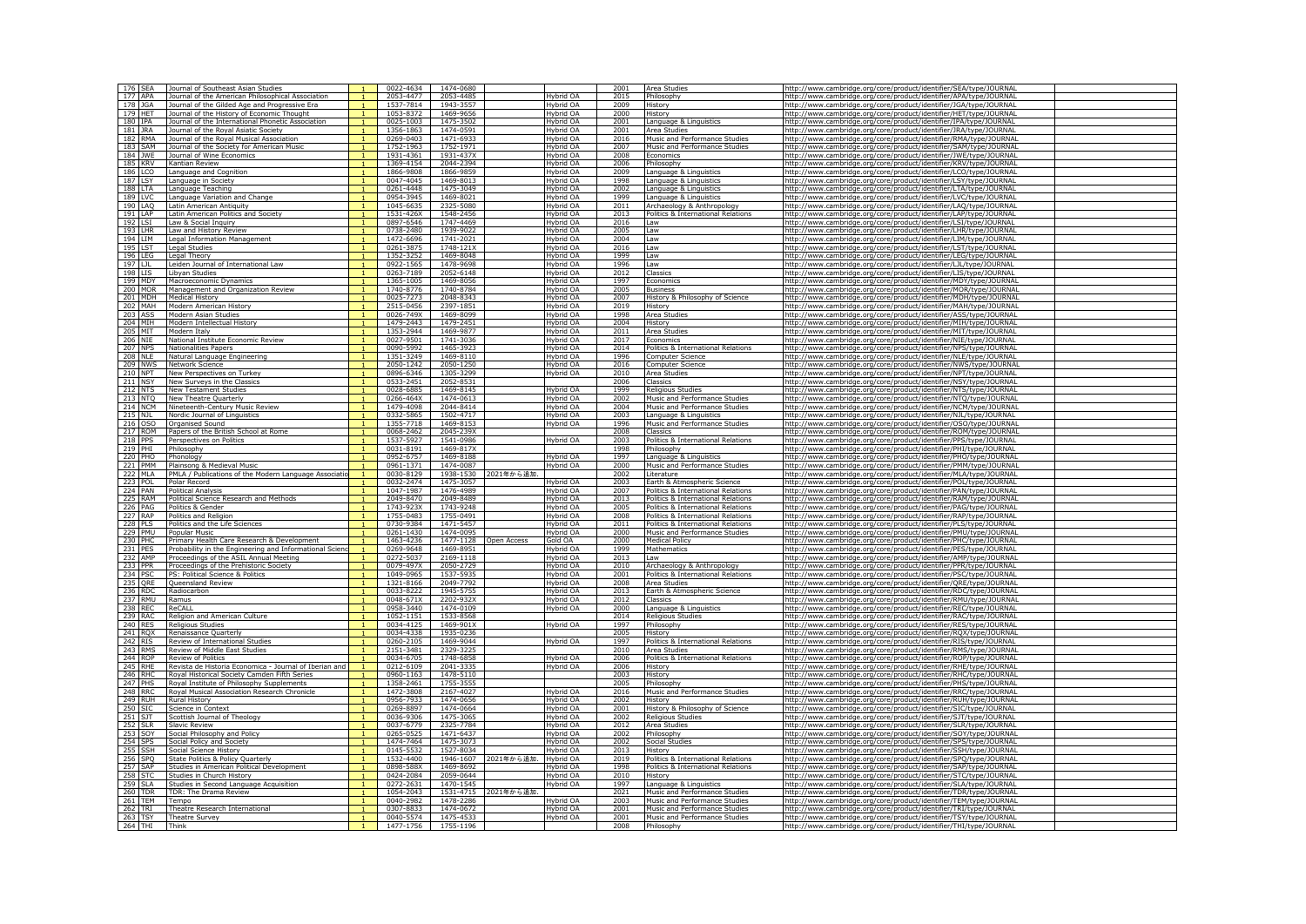| 176 SEA               | Journal of Southeast Asian Studies                                     | 0022-4634              | 1474-0680              |                      |                        | 2001         | Area Studie                                        | http://www.cambridge.org/core/product/identifier/SEA/type/JOURNA                                                                       |  |
|-----------------------|------------------------------------------------------------------------|------------------------|------------------------|----------------------|------------------------|--------------|----------------------------------------------------|----------------------------------------------------------------------------------------------------------------------------------------|--|
| 177 APA               | Journal of the American Philosophical Association                      | 2053-4477              | 2053-4485              |                      | Hybrid OA              | 2015         | Philosophy                                         | http://www.cambridge.org/core/product/identifier/APA/type/JOURNAL                                                                      |  |
| 178 JGA               | Journal of the Gilded Age and Progressive Era                          | 1537-7814              | 1943-3557              |                      | Hybrid OA              | 2009         | History                                            | http://www.cambridge.org/core/product/identifier/JGA/type/JOURNA                                                                       |  |
| 179 HET               | Journal of the History of Economic Thought                             | 1053-8372              | 1469-9656              |                      | Hybrid OA              | 2000         | History                                            | http://www.cambridge.org/core/product/identifier/HET/type/JOURNAI                                                                      |  |
| 180 IPA               | Journal of the International Phonetic Association                      | 0025-1003              | 1475-3502              |                      | Hybrid OA              | 2001         | Language & Linguistics                             | http://www.cambridge.org/core/product/identifier/IPA/type/JOURNAL                                                                      |  |
| 181 JRA               | lournal of the Roval Asiatic Society                                   | 1356-1863              | 1474-0591              |                      | Hybrid OA              |              | Area Studies                                       | http://www.cambridge.org/core/product/identifier/JRA/type/JOURNAI                                                                      |  |
| 182 RMA               | Journal of the Roval Musical Association                               | 0269-0403              | 1471-6933              |                      | Hybrid OA              | 2016         | Music and Performance Studies                      | http://www.cambridge.org/core/product/identifier/RMA/type/JOURNAL                                                                      |  |
| 183 SAM<br>184 JWE    | Journal of the Society for American Music<br>Journal of Wine Economics | 1752-1963<br>1931-4361 | 1752-1971<br>1931-437X |                      | Hybrid OA<br>Hybrid OA | 2007<br>2008 | Music and Performance Studies<br>Economics         | http://www.cambridge.org/core/product/identifier/SAM/type/JOURNAL                                                                      |  |
| 185 KRV               | Kantian Review                                                         | 1369-4154              | 2044-2394              |                      | Hybrid OA              | 2006         | Philosophy                                         | http://www.cambridge.org/core/product/identifier/JWE/type/JOURNAI                                                                      |  |
| 186 LCO               | Language and Cognition                                                 | 1866-9808              | 1866-9859              |                      | Hybrid OA              | 2009         | Language & Linguistics                             | http://www.cambridge.org/core/product/identifier/KRV/type/JOURNAL<br>http://www.cambridge.org/core/product/identifier/LCO/type/JOURNAL |  |
| 187                   | Language in Society                                                    | 0047-4045              | 1469-8013              |                      | Hybrid OA              | 1998         | Language & Linguistics                             | http://www.cambridge.org/core/product/identifier/LSY/type/JOURNAI                                                                      |  |
| 188 LTA               | Language Teaching                                                      | 0261-4448              | 1475-3049              |                      | Hybrid OA              | 2002         | Language & Linguistics                             | http://www.cambridge.org/core/product/identifier/LTA/type/JOURNAL                                                                      |  |
| 189 LVC               | Language Variation and Change                                          | 0954-3945              | 1469-8021              |                      | Hybrid OA              | 1999         | Language & Linguistics                             | http://www.cambridge.org/core/product/identifier/LVC/type/JOURNAL                                                                      |  |
| 190 LAQ               | Latin American Antiquity                                               | 1045-6635              | 2325-5080              |                      | Hybrid OA              | 2011         | Archaeology & Anthropology                         | http://www.cambridge.org/core/product/identifier/LAQ/type/JOURNAI                                                                      |  |
| 191 LAP               | Latin American Politics and Society                                    | 1531-426X              | 1548-2456              |                      | Hybrid OA              | 2013         | Politics & International Relations                 | http://www.cambridge.org/core/product/identifier/LAP/type/JOURNAL                                                                      |  |
| 192 LSI               | Law & Social Inquiry                                                   | 0897-6546              | 1747-4469              |                      | Hybrid OA              | 2016         | Law                                                | http://www.cambridge.org/core/product/identifier/LSI/type/JOURNAL                                                                      |  |
| 193<br>I HR           | Law and History Review                                                 | 0738-2480              | 1939-9022              |                      | Hybrid OA              | 2005         | Law                                                | http://www.cambridge.org/core/product/identifier/LHR/type/JOURNAL                                                                      |  |
| 194 LIM               | Legal Information Management                                           | 1472-6696              | 1741-2021              |                      | Hybrid OA              | 2004         | Law                                                | http://www.cambridge.org/core/product/identifier/LIM/type/JOURNAL                                                                      |  |
| 195 LST               | Legal Studies                                                          | 0261-3875              | $1748 - 121X$          |                      | Hybrid OA              | 2016         | Law                                                | http://www.cambridge.org/core/product/identifier/LST/type/JOURNAL                                                                      |  |
| 196<br><b>IFG</b>     | Legal Theory                                                           | 1352-3252              | 1469-8048              |                      | Hybrid OA              | 1999         | Law                                                | http://www.cambridge.org/core/product/identifier/LEG/type/JOURNAI                                                                      |  |
| 197 LJL               | Leiden Journal of International Law                                    | 0922-1565              | 1478-9698              |                      | Hybrid OA              | 1996         | I aw                                               | http://www.cambridge.org/core/product/identifier/LJL/type/JOURNAL                                                                      |  |
| 198 LIS<br>199 MDY    | Libvan Studies                                                         | 0263-7189<br>1365-1005 | 2052-6148<br>1469-8056 |                      | Hybrid OA              | 2012<br>1997 | Classics                                           | http://www.cambridge.org/core/product/identifier/LIS/type/JOURNAL<br>http://www.cambridge.org/core/product/identifier/MDY/tyne/10URNA  |  |
| 200 MOR               | Macroeconomic Dynamics<br>Management and Organization Review           | 1740-8776              | 1740-8784              |                      | Hybrid OA<br>Hybrid OA | 2005         | Fconomics<br><b>Rusiness</b>                       |                                                                                                                                        |  |
| 201 MDH               | <b>Medical History</b>                                                 | 0025-7273              | 2048-8343              |                      | Hybrid OA              | 2007         | History & Philosophy of Science                    | http://www.cambridge.org/core/product/identifier/MOR/type/JOURNAL<br>http://www.cambridge.org/core/product/identifier/MDH/type/JOURNAL |  |
| 202 MAH               | Modern American History                                                | 2515-0456              | 2397-1851              |                      | Hybrid OA              | 2019         | History                                            | http://www.cambridge.org/core/product/identifier/MAH/type/JOURNAL                                                                      |  |
| 203 ASS               | Modern Asian Studies                                                   | 0026-749X              | 1469-8099              |                      | Hybrid OA              | 1998         | Area Studies                                       | http://www.cambridge.org/core/product/identifier/ASS/type/JOURNAL                                                                      |  |
| 204 MIH               | Modern Intellectual History                                            | 1479-2443              | 1479-2451              |                      | Hybrid OA              | 2004         | History                                            | http://www.cambridge.org/core/product/identifier/MIH/type/JOURNAI                                                                      |  |
| 205 MIT               | Modern Italv                                                           | 1353-2944              | 1469-9877              |                      | Hybrid OA              | 2011         | Area Studies                                       | http://www.cambridge.org/core/product/identifier/MIT/type/JOURNAL                                                                      |  |
| 206 NIE               | National Institute Economic Review                                     | 0027-9501              | 1741-3036              |                      | Hybrid OA              | 2017         | Economics                                          | http://www.cambridge.org/core/product/identifier/NIE/type/JOURNAL                                                                      |  |
| 207 NPS               | <b>Nationalities Papers</b>                                            | 0090-5992              | 1465-3923              |                      | Hybrid OA              | 2014         | Politics & International Relations                 | http://www.cambridge.org/core/product/identifier/NPS/type/JOURNAL                                                                      |  |
| 208 NLE               | Natural Language Engineering                                           | 1351-3249              | 1469-8110              |                      | Hybrid OA              | 1996         | Computer Science                                   | http://www.cambridge.org/core/product/identifier/NLE/type/JOURNAL                                                                      |  |
| 209 NWS               | Network Science                                                        | 2050-1242              | 2050-1250              |                      | Hybrid OA              | 2016         | Computer Science                                   | http://www.cambridge.org/core/product/identifier/NWS/type/JOURNAL                                                                      |  |
| 210 NPT               | New Perspectives on Turkey                                             | 0896-6346              | 1305-3299              |                      | Hybrid OA              | 2010         | Area Studies                                       | http://www.cambridge.org/core/product/identifier/NPT/type/JOURNAL                                                                      |  |
| 211 NSY               | New Surveys in the Classics                                            | 0533-2451              | 2052-8531              |                      |                        | 2006         | Classics                                           | http://www.cambridge.org/core/product/identifier/NSY/type/JOURNAI                                                                      |  |
| 212 NTS               | New Testament Studies                                                  | 0028-6885              | 1469-8145              |                      | Hybrid OA              | 1999         | <b>Religious Studies</b>                           | http://www.cambridge.org/core/product/identifier/NTS/type/JOURNAL                                                                      |  |
| 213 NTO               | New Theatre Quarterly                                                  | 0266-464X              | 1474-0613              |                      | Hybrid OA              | 2002         | Music and Performance Studies                      | http://www.cambridge.org/core/product/identifier/NTQ/type/JOURNAL                                                                      |  |
| 214 NCM               | Nineteenth-Century Music Review                                        | 1479-4098              | 2044-8414              |                      | Hybrid OA              | 2004         | Music and Performance Studies                      | http://www.cambridge.org/core/product/identifier/NCM/type/JOURNAL                                                                      |  |
| 215 NJL<br>216        | Nordic Journal of Linquistics                                          | 0332-5865              | 1502-4717              |                      | Hybrid OA              | 2003<br>1996 | Language & Linguistics                             | http://www.cambridge.org/core/product/identifier/NJL/type/JOURNAL                                                                      |  |
| OSO<br>217 ROM        | Organised Sound<br>Papers of the British School at Rome                | 1355-7718<br>0068-2462 | 1469-8153<br>2045-239X |                      | Hybrid OA              | 2008         | Music and Performance Studies<br>Classics          | http://www.cambridge.org/core/product/identifier/OSO/type/JOURNA                                                                       |  |
| 218 PPS               | Perspectives on Politics                                               | 1537-5927              | 1541-0986              |                      | Hybrid OA              | 2003         | Politics & International Relations                 | http://www.cambridge.org/core/product/identifier/ROM/type/JOURNAI<br>http://www.cambridge.org/core/product/identifier/PPS/type/JOURNAL |  |
| 219 PHI               | Philosophy                                                             | 0031-8191              | 1469-817X              |                      |                        | 1998         | Philosophy                                         | http://www.cambridge.org/core/product/identifier/PHI/type/JOURNAI                                                                      |  |
| 220 PHO               | Phonology                                                              | 0952-6757              | 1469-8188              |                      | Hybrid OA              | 1997         | Language & Linguistics                             | http://www.cambridge.org/core/product/identifier/PHO/type/JOURNAI                                                                      |  |
| 221 PMM               | Plainsong & Medieval Music                                             | 0961-1371              | 1474-0087              |                      | Hybrid OA              | 2000         | Music and Performance Studie                       | http://www.cambridge.org/core/product/identifier/PMM/type/JOURNA                                                                       |  |
| 222 MLA               | PMLA / Publications of the Modern Language Associati                   | 0030-8129              | 1938-1530              | 2021年から追加            |                        | 2002         | Literature                                         | http://www.cambridge.org/core/product/identifier/MLA/type/JOURNAI                                                                      |  |
| 223 POL               | Polar Record                                                           | 0032-2474              | 1475-3057              |                      | Hybrid OA              | 2003         | <b>Farth &amp; Atmospheric Science</b>             | http://www.cambridge.org/core/product/identifier/POL/type/JOURNAL                                                                      |  |
| <b>224 PAN</b>        | <b>Political Analysis</b>                                              | 1047-1987              | 1476-4989              |                      | Hybrid OA              | 2007         | Politics & International Relations                 | http://www.cambridge.org/core/product/identifier/PAN/type/JOURNAL                                                                      |  |
| 225 RAM               | Political Science Research and Methods                                 | 2049-8470              | 2049-8489              |                      | Hybrid OA              | 2013         | Politics & International Relations                 | http://www.cambridge.org/core/product/identifier/RAM/type/JOURNAI                                                                      |  |
| 226 PAG               | Politics & Gender                                                      | 1743-923X              | 1743-9248              |                      | Hybrid OA              | 2005         | Politics & International Relations                 | http://www.cambridge.org/core/product/identifier/PAG/type/JOURNAL                                                                      |  |
| 227 RAP               | Politics and Religion                                                  | 1755-0483              | 1755-0491              |                      | Hybrid OA              | 2008         | Politics & International Relations                 | http://www.cambridge.org/core/product/identifier/RAP/type/JOURNAL                                                                      |  |
| 228 PLS               | Politics and the Life Sciences                                         | 0730-9384              | 1471-5457              |                      | Hybrid OA              | 2011         | Politics & International Relations                 | http://www.cambridge.org/core/product/identifier/PLS/type/JOURNAI                                                                      |  |
| 229 PMU               | Popular Music                                                          | 0261-1430              | 1474-0095              |                      | Hybrid OA              | 2000         | Music and Performance Studies                      | http://www.cambridge.org/core/product/identifier/PMU/type/JOURNAI                                                                      |  |
| 230 PHC               | Primary Health Care Research & Development                             | 1463-4236              | 1477-1128              | Open Access          | Gold OA                | 2000         | <b>Medical Policy</b>                              | http://www.cambridge.org/core/product/identifier/PHC/type/JOURNAI                                                                      |  |
| 231 PFS               | Probability in the Engineering and Informational Scien                 | 0269-9648              | 1469-8951              |                      | Hybrid OA              | 1999         | Mathematics                                        | http://www.cambridge.org/core/product/identifier/PES/type/JOURNAL                                                                      |  |
| 232 AMP               | Proceedings of the ASIL Annual Meeting                                 | 0272-5037              | 2169-1118              |                      | Hybrid OA              | 2013         | l aw                                               | http://www.cambridge.org/core/product/identifier/AMP/type/JOURNAL                                                                      |  |
| 233 PPR               | Proceedings of the Prehistoric Societ                                  | 0079-497X              | 2050-2729              |                      | Hybrid OA              | 2010         | Archaeology & Anthropology                         | http://www.cambridge.org/core/product/identifier/PPR/type/JOURNA                                                                       |  |
| 234 PSC               | PS: Political Science & Politics                                       | 1049-0965              | 1537-5935              |                      | Hybrid OA              | 2001         | Politics & International Relations                 | http://www.cambridge.org/core/product/identifier/PSC/type/JOURNAL                                                                      |  |
| 235 QRE               | <b>Oueensland Review</b>                                               | 1321-8166              | 2049-7792              |                      | Hybrid OA              | 2008         | Area Studies                                       | http://www.cambridge.org/core/product/identifier/QRE/type/JOURNAL                                                                      |  |
| 236 RDC<br>237 RMU    | Radiocarbon<br>Ramus                                                   | 0033-8222<br>0048-671X | 1945-5755<br>2202-932X |                      | Hybrid OA<br>Hybrid OA | 2013<br>2012 | Earth & Atmospheric Science                        | http://www.cambridge.org/core/product/identifier/RDC/type/JOURNAL                                                                      |  |
|                       | ReCALL                                                                 |                        |                        |                      |                        |              | Classics                                           | http://www.cambridge.org/core/product/identifier/RMU/type/JOURNAL                                                                      |  |
| 238 REC<br>239 RAC    | Religion and American Culture                                          | 0958-3440<br>1052-1151 | 1474-0109<br>1533-8568 |                      | Hybrid OA              | 2000<br>2014 | Language & Linguistics<br><b>Religious Studies</b> | http://www.cambridge.org/core/product/identifier/REC/type/JOURNAL<br>http://www.cambridge.org/core/product/identifier/RAC/type/JOURNAI |  |
| 240 RES               | <b>Religious Studies</b>                                               | 0034-4125              | 1469-901X              |                      | Hybrid OA              | 1997         | Philosophy                                         | http://www.cambridge.org/core/product/identifier/RES/type/JOURNAL                                                                      |  |
| 241 RQX               | Renaissance Quarterly                                                  | 0034-4338              | 1935-0236              |                      |                        | 2005         | History                                            | http://www.cambridge.org/core/product/identifier/RQX/type/JOURNAL                                                                      |  |
| 242 RIS               | Review of International Studies                                        | 0260-2105              | 1469-9044              |                      | Hybrid OA              | 1997         | Politics & International Relations                 | http://www.cambridge.org/core/product/identifier/RIS/type/JOURNAI                                                                      |  |
| 243 RMS               | Review of Middle East Studies                                          | 2151-3481              | 2329-3225              |                      |                        | 2010         | Area Studie                                        | http://www.cambridge.org/core/product/identifier/RMS/type/JOURNAI                                                                      |  |
| 244 ROP               | <b>Review of Politics</b>                                              | 0034-6705              | 1748-6858              |                      | Hybrid OA              | 2006         | Politics & International Relations                 | http://www.cambridge.org/core/product/identifier/ROP/type/JOURNAL                                                                      |  |
| 245 RHE               | Revista de Historia Economica - Journal of Iberian and                 | 0212-6109              | 2041-3335              |                      | Hybrid OA              | 2006         | History                                            | http://www.cambridge.org/core/product/identifier/RHE/type/JOURNAI                                                                      |  |
| 246 RHC               | Royal Historical Society Camden Fifth Series                           | $0960 - 1163$          | 1478-5110              |                      |                        | 2003         | History                                            | http://www.cambridge.org/core/product/identifier/RHC/type/JOURNAL                                                                      |  |
| 247 PHS               | Royal Institute of Philosophy Supplements                              | 1358-2461              | 1755-3555              |                      |                        | 2005         | Philosoph                                          | http://www.cambridge.org/core/product/identifier/PHS/type/JOURNAL                                                                      |  |
| 248 RRC               | Roval Musical Association Research Chronicle                           | 1472-3808              | 2167-4027              |                      | Hybrid OA              | 2016         | Music and Performance Studies                      | http://www.cambridge.org/core/product/identifier/RRC/type/JOURNAI                                                                      |  |
| 249 RUH               | <b>Rural History</b>                                                   | 0956-7933              | 1474-0656              |                      | Hybrid OA              | 2002         | History                                            | http://www.cambridge.org/core/product/identifier/RUH/type/JOURNAL                                                                      |  |
| 250 SIC               | Science in Context                                                     | 0269-8897              | 1474-0664              |                      | Hybrid OA              | 2001         | History & Philosophy of Science                    | http://www.cambridge.org/core/product/identifier/SIC/type/JOURNAL                                                                      |  |
| 251<br>51Т            | Scottish Journal of Theology                                           | 0036-9306              | 1475-3065              |                      | Hybrid OA              | 2002         | <b>Religious Studies</b>                           | http://www.cambridge.org/core/product/identifier/SJT/type/JOURNAI                                                                      |  |
| 252 SLR               | Slavic Review                                                          | 0037-6779              | 2325-7784              |                      | Hybrid OA              | 2012         | Area Studies                                       | http://www.cambridge.org/core/product/identifier/SLR/type/JOURNAL                                                                      |  |
| 253 SOY               | Social Philosophy and Policy                                           | 0265-0525              | 1471-6437              |                      | Hybrid OA              | 2002         | Philosophy                                         | http://www.cambridge.org/core/product/identifier/SOY/type/JOURNAI                                                                      |  |
| 254<br>SPS<br>255 SSH | Social Policy and Society<br>Social Science History                    | 1474-7464<br>0145-5532 | 1475-3073<br>1527-8034 |                      | Hybrid OA<br>Hybrid OA | 2002<br>2013 | Social Studies<br>History                          | http://www.cambridge.org/core/product/identifier/SPS/type/JOURNAL                                                                      |  |
| 256 SPQ               | State Politics & Policy Ouarterly                                      | 1532-4400              | 1946-1607              | 2021年から追加. Hybrid OA |                        | 2019         | Politics & International Relations                 | http://www.cambridge.org/core/product/identifier/SSH/type/JOURNAL<br>http://www.cambridge.org/core/product/identifier/SPO/type/JOURNAL |  |
| 257 SAP               | Studies in American Political Development                              | 0898-588X              | 1469-8692              |                      | Hybrid OA              | 1998         | Politics & International Relations                 | http://www.cambridge.org/core/product/identifier/SAP/type/JOURNAI                                                                      |  |
| 258 STC               | Studies in Church History                                              | 0424-2084              | 2059-0644              |                      | Hybrid OA              | 2010         | History                                            | http://www.cambridge.org/core/product/identifier/STC/type/JOURNAL                                                                      |  |
| 259 SLA               | Studies in Second Language Acquisition                                 | 0272-2631              | 1470-1545              |                      | Hybrid OA              | 1997         | Language & Linguistics                             | http://www.cambridge.org/core/product/identifier/SLA/type/JOURNA                                                                       |  |
| 260 TDR               | TDR: The Drama Review                                                  | 1054-2043              | 1531-4715              | 2021年から追加            |                        | 2021         | Music and Performance Studies                      | http://www.cambridge.org/core/product/identifier/TDR/type/JOURNA                                                                       |  |
| 261 TEM               | Tempo                                                                  | 0040-2982              | 1478-2286              |                      | Hybrid OA              | 2003         | Music and Performance Studies                      | http://www.cambridge.org/core/product/identifier/TEM/type/JOURNAL                                                                      |  |
| 262 TRI               | Theatre Research International                                         | 0307-8833              | 1474-0672              |                      | Hybrid OA              | 2001         | Music and Performance Studies                      | http://www.cambridge.org/core/product/identifier/TRI/type/JOURNAL                                                                      |  |
| 263 TSY               | <b>Theatre Survey</b>                                                  | 0040-5574              | 1475-4533              |                      | Hybrid OA              | 2001         | Music and Performance Studies                      | http://www.cambridge.org/core/product/identifier/TSY/type/JOURNAL                                                                      |  |
| 264 THI               | Think                                                                  | 1477-1756              | 1755-1196              |                      |                        | 2008         | Philosophy                                         | http://www.cambridge.org/core/product/identifier/THI/type/JOURNAL                                                                      |  |